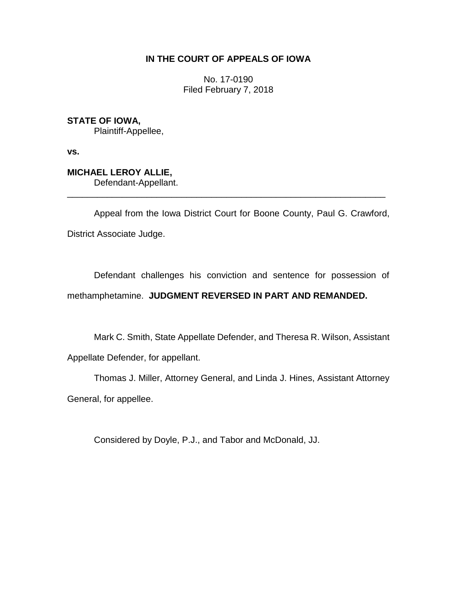## **IN THE COURT OF APPEALS OF IOWA**

No. 17-0190 Filed February 7, 2018

**STATE OF IOWA,** Plaintiff-Appellee,

**vs.**

## **MICHAEL LEROY ALLIE,** Defendant-Appellant.

Appeal from the Iowa District Court for Boone County, Paul G. Crawford, District Associate Judge.

\_\_\_\_\_\_\_\_\_\_\_\_\_\_\_\_\_\_\_\_\_\_\_\_\_\_\_\_\_\_\_\_\_\_\_\_\_\_\_\_\_\_\_\_\_\_\_\_\_\_\_\_\_\_\_\_\_\_\_\_\_\_\_\_

Defendant challenges his conviction and sentence for possession of methamphetamine. **JUDGMENT REVERSED IN PART AND REMANDED.**

Mark C. Smith, State Appellate Defender, and Theresa R. Wilson, Assistant

Appellate Defender, for appellant.

Thomas J. Miller, Attorney General, and Linda J. Hines, Assistant Attorney General, for appellee.

Considered by Doyle, P.J., and Tabor and McDonald, JJ.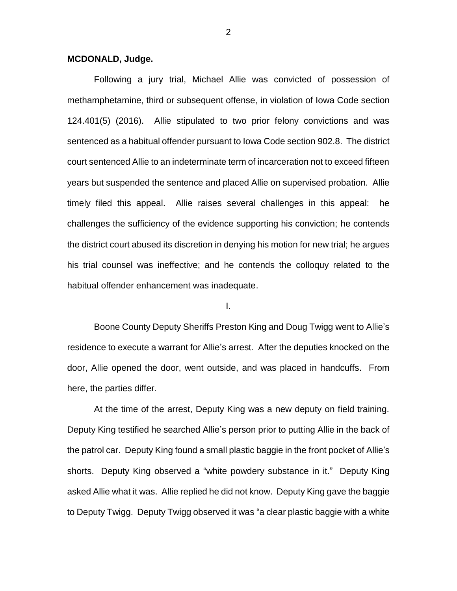#### **MCDONALD, Judge.**

Following a jury trial, Michael Allie was convicted of possession of methamphetamine, third or subsequent offense, in violation of Iowa Code section 124.401(5) (2016). Allie stipulated to two prior felony convictions and was sentenced as a habitual offender pursuant to Iowa Code section 902.8. The district court sentenced Allie to an indeterminate term of incarceration not to exceed fifteen years but suspended the sentence and placed Allie on supervised probation. Allie timely filed this appeal. Allie raises several challenges in this appeal: he challenges the sufficiency of the evidence supporting his conviction; he contends the district court abused its discretion in denying his motion for new trial; he argues his trial counsel was ineffective; and he contends the colloquy related to the habitual offender enhancement was inadequate.

I.

Boone County Deputy Sheriffs Preston King and Doug Twigg went to Allie's residence to execute a warrant for Allie's arrest. After the deputies knocked on the door, Allie opened the door, went outside, and was placed in handcuffs. From here, the parties differ.

At the time of the arrest, Deputy King was a new deputy on field training. Deputy King testified he searched Allie's person prior to putting Allie in the back of the patrol car. Deputy King found a small plastic baggie in the front pocket of Allie's shorts. Deputy King observed a "white powdery substance in it." Deputy King asked Allie what it was. Allie replied he did not know. Deputy King gave the baggie to Deputy Twigg. Deputy Twigg observed it was "a clear plastic baggie with a white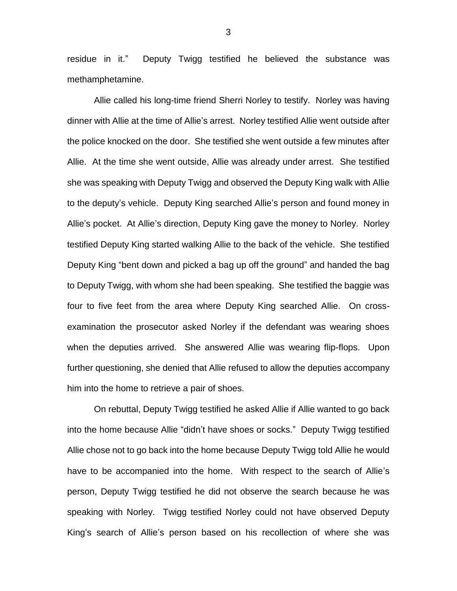residue in it." Deputy Twigg testified he believed the substance was methamphetamine.

Allie called his long-time friend Sherri Norley to testify. Norley was having dinner with Allie at the time of Allie's arrest. Norley testified Allie went outside after the police knocked on the door. She testified she went outside a few minutes after Allie. At the time she went outside, Allie was already under arrest. She testified she was speaking with Deputy Twigg and observed the Deputy King walk with Allie to the deputy's vehicle. Deputy King searched Allie's person and found money in Allie's pocket. At Allie's direction, Deputy King gave the money to Norley. Norley testified Deputy King started walking Allie to the back of the vehicle. She testified Deputy King "bent down and picked a bag up off the ground" and handed the bag to Deputy Twigg, with whom she had been speaking. She testified the baggie was four to five feet from the area where Deputy King searched Allie. On crossexamination the prosecutor asked Norley if the defendant was wearing shoes when the deputies arrived. She answered Allie was wearing flip-flops. Upon further questioning, she denied that Allie refused to allow the deputies accompany him into the home to retrieve a pair of shoes.

On rebuttal, Deputy Twigg testified he asked Allie if Allie wanted to go back into the home because Allie "didn't have shoes or socks." Deputy Twigg testified Allie chose not to go back into the home because Deputy Twigg told Allie he would have to be accompanied into the home. With respect to the search of Allie's person, Deputy Twigg testified he did not observe the search because he was speaking with Norley. Twigg testified Norley could not have observed Deputy King's search of Allie's person based on his recollection of where she was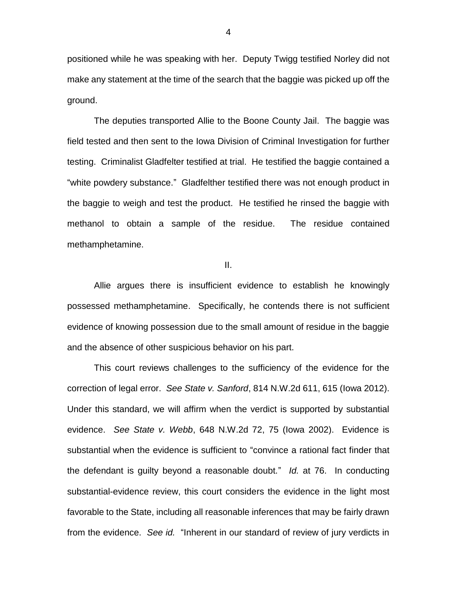positioned while he was speaking with her. Deputy Twigg testified Norley did not make any statement at the time of the search that the baggie was picked up off the ground.

The deputies transported Allie to the Boone County Jail. The baggie was field tested and then sent to the Iowa Division of Criminal Investigation for further testing. Criminalist Gladfelter testified at trial. He testified the baggie contained a "white powdery substance." Gladfelther testified there was not enough product in the baggie to weigh and test the product. He testified he rinsed the baggie with methanol to obtain a sample of the residue. The residue contained methamphetamine.

II.

Allie argues there is insufficient evidence to establish he knowingly possessed methamphetamine. Specifically, he contends there is not sufficient evidence of knowing possession due to the small amount of residue in the baggie and the absence of other suspicious behavior on his part.

This court reviews challenges to the sufficiency of the evidence for the correction of legal error. *See State v. Sanford*, 814 N.W.2d 611, 615 (Iowa 2012). Under this standard, we will affirm when the verdict is supported by substantial evidence. *See State v. Webb*, 648 N.W.2d 72, 75 (Iowa 2002). Evidence is substantial when the evidence is sufficient to "convince a rational fact finder that the defendant is guilty beyond a reasonable doubt." *Id.* at 76. In conducting substantial-evidence review, this court considers the evidence in the light most favorable to the State, including all reasonable inferences that may be fairly drawn from the evidence. *See id.* "Inherent in our standard of review of jury verdicts in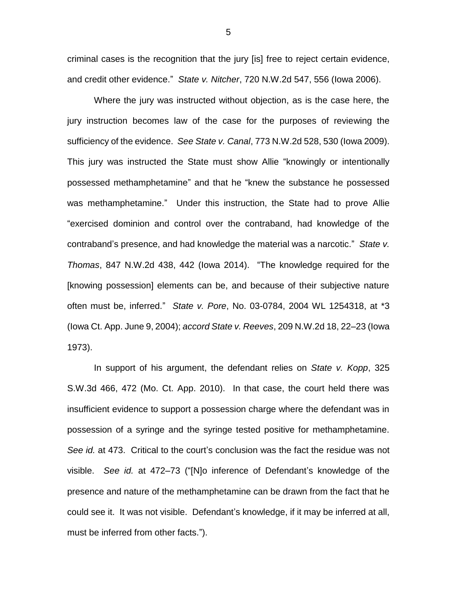criminal cases is the recognition that the jury [is] free to reject certain evidence, and credit other evidence." *State v. Nitcher*, 720 N.W.2d 547, 556 (Iowa 2006).

Where the jury was instructed without objection, as is the case here, the jury instruction becomes law of the case for the purposes of reviewing the sufficiency of the evidence. *See State v. Canal*, 773 N.W.2d 528, 530 (Iowa 2009). This jury was instructed the State must show Allie "knowingly or intentionally possessed methamphetamine" and that he "knew the substance he possessed was methamphetamine." Under this instruction, the State had to prove Allie "exercised dominion and control over the contraband, had knowledge of the contraband's presence, and had knowledge the material was a narcotic." *State v. Thomas*, 847 N.W.2d 438, 442 (Iowa 2014). "The knowledge required for the [knowing possession] elements can be, and because of their subjective nature often must be, inferred." *State v. Pore*, No. 03-0784, 2004 WL 1254318, at \*3 (Iowa Ct. App. June 9, 2004); *accord State v. Reeves*, 209 N.W.2d 18, 22–23 (Iowa 1973).

In support of his argument, the defendant relies on *State v. Kopp*, 325 S.W.3d 466, 472 (Mo. Ct. App. 2010). In that case, the court held there was insufficient evidence to support a possession charge where the defendant was in possession of a syringe and the syringe tested positive for methamphetamine. *See id.* at 473. Critical to the court's conclusion was the fact the residue was not visible. *See id.* at 472–73 ("[N]o inference of Defendant's knowledge of the presence and nature of the methamphetamine can be drawn from the fact that he could see it. It was not visible. Defendant's knowledge, if it may be inferred at all, must be inferred from other facts.").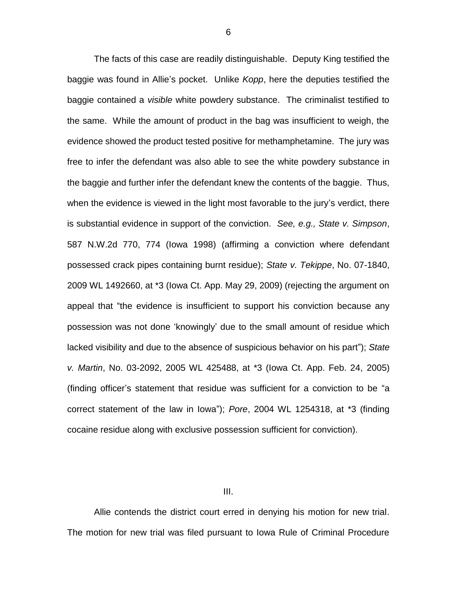The facts of this case are readily distinguishable. Deputy King testified the baggie was found in Allie's pocket. Unlike *Kopp*, here the deputies testified the baggie contained a *visible* white powdery substance. The criminalist testified to the same. While the amount of product in the bag was insufficient to weigh, the evidence showed the product tested positive for methamphetamine. The jury was free to infer the defendant was also able to see the white powdery substance in the baggie and further infer the defendant knew the contents of the baggie. Thus, when the evidence is viewed in the light most favorable to the jury's verdict, there is substantial evidence in support of the conviction. *See, e.g., State v. Simpson*, 587 N.W.2d 770, 774 (Iowa 1998) (affirming a conviction where defendant possessed crack pipes containing burnt residue); *State v. Tekippe*, No. 07-1840, 2009 WL 1492660, at \*3 (Iowa Ct. App. May 29, 2009) (rejecting the argument on appeal that "the evidence is insufficient to support his conviction because any possession was not done 'knowingly' due to the small amount of residue which lacked visibility and due to the absence of suspicious behavior on his part"); *State v. Martin*, No. 03-2092, 2005 WL 425488, at \*3 (Iowa Ct. App. Feb. 24, 2005) (finding officer's statement that residue was sufficient for a conviction to be "a correct statement of the law in Iowa"); *Pore*, 2004 WL 1254318, at \*3 (finding cocaine residue along with exclusive possession sufficient for conviction).

III.

Allie contends the district court erred in denying his motion for new trial. The motion for new trial was filed pursuant to Iowa Rule of Criminal Procedure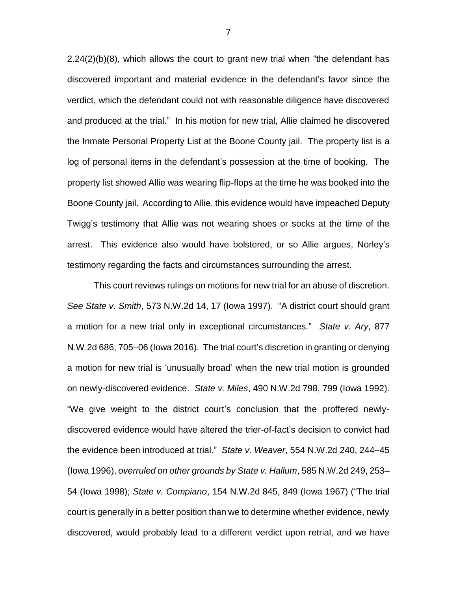2.24(2)(b)(8), which allows the court to grant new trial when "the defendant has discovered important and material evidence in the defendant's favor since the verdict, which the defendant could not with reasonable diligence have discovered and produced at the trial." In his motion for new trial, Allie claimed he discovered the Inmate Personal Property List at the Boone County jail. The property list is a log of personal items in the defendant's possession at the time of booking. The property list showed Allie was wearing flip-flops at the time he was booked into the Boone County jail. According to Allie, this evidence would have impeached Deputy Twigg's testimony that Allie was not wearing shoes or socks at the time of the arrest. This evidence also would have bolstered, or so Allie argues, Norley's testimony regarding the facts and circumstances surrounding the arrest.

This court reviews rulings on motions for new trial for an abuse of discretion. *See State v. Smith*, 573 N.W.2d 14, 17 (Iowa 1997). "A district court should grant a motion for a new trial only in exceptional circumstances." *State v. Ary*, 877 N.W.2d 686, 705–06 (Iowa 2016). The trial court's discretion in granting or denying a motion for new trial is 'unusually broad' when the new trial motion is grounded on newly-discovered evidence. *State v. Miles*, 490 N.W.2d 798, 799 (Iowa 1992). "We give weight to the district court's conclusion that the proffered newlydiscovered evidence would have altered the trier-of-fact's decision to convict had the evidence been introduced at trial." *State v. Weaver*, 554 N.W.2d 240, 244–45 (Iowa 1996), *overruled on other grounds by State v. Hallum*, 585 N.W.2d 249, 253– 54 (Iowa 1998); *State v. Compiano*, 154 N.W.2d 845, 849 (Iowa 1967) ("The trial court is generally in a better position than we to determine whether evidence, newly discovered, would probably lead to a different verdict upon retrial, and we have

7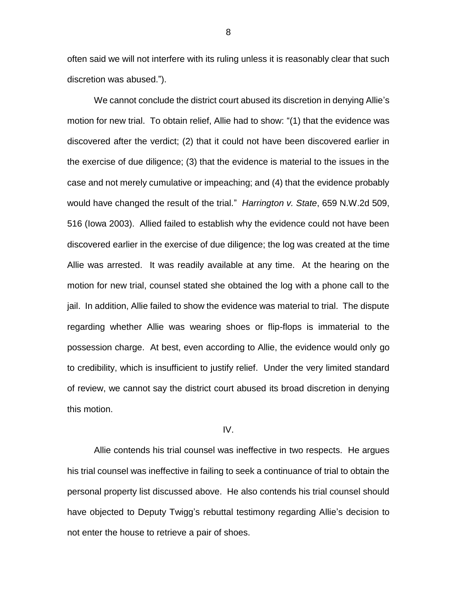often said we will not interfere with its ruling unless it is reasonably clear that such discretion was abused.").

We cannot conclude the district court abused its discretion in denying Allie's motion for new trial. To obtain relief, Allie had to show: "(1) that the evidence was discovered after the verdict; (2) that it could not have been discovered earlier in the exercise of due diligence; (3) that the evidence is material to the issues in the case and not merely cumulative or impeaching; and (4) that the evidence probably would have changed the result of the trial." *Harrington v. State*, 659 N.W.2d 509, 516 (Iowa 2003). Allied failed to establish why the evidence could not have been discovered earlier in the exercise of due diligence; the log was created at the time Allie was arrested. It was readily available at any time. At the hearing on the motion for new trial, counsel stated she obtained the log with a phone call to the jail. In addition, Allie failed to show the evidence was material to trial. The dispute regarding whether Allie was wearing shoes or flip-flops is immaterial to the possession charge. At best, even according to Allie, the evidence would only go to credibility, which is insufficient to justify relief. Under the very limited standard of review, we cannot say the district court abused its broad discretion in denying this motion.

### IV.

Allie contends his trial counsel was ineffective in two respects. He argues his trial counsel was ineffective in failing to seek a continuance of trial to obtain the personal property list discussed above. He also contends his trial counsel should have objected to Deputy Twigg's rebuttal testimony regarding Allie's decision to not enter the house to retrieve a pair of shoes.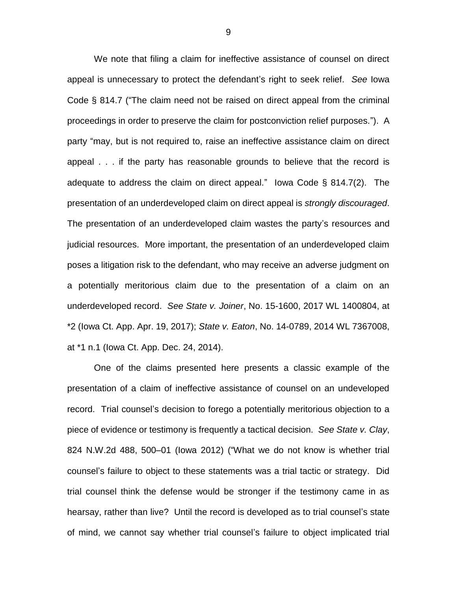We note that filing a claim for ineffective assistance of counsel on direct appeal is unnecessary to protect the defendant's right to seek relief. *See* Iowa Code § 814.7 ("The claim need not be raised on direct appeal from the criminal proceedings in order to preserve the claim for postconviction relief purposes."). A party "may, but is not required to, raise an ineffective assistance claim on direct appeal . . . if the party has reasonable grounds to believe that the record is adequate to address the claim on direct appeal." Iowa Code § 814.7(2). The presentation of an underdeveloped claim on direct appeal is *strongly discouraged*. The presentation of an underdeveloped claim wastes the party's resources and judicial resources. More important, the presentation of an underdeveloped claim poses a litigation risk to the defendant, who may receive an adverse judgment on a potentially meritorious claim due to the presentation of a claim on an underdeveloped record. *See State v. Joiner*, No. 15-1600, 2017 WL 1400804, at \*2 (Iowa Ct. App. Apr. 19, 2017); *State v. Eaton*, No. 14-0789, 2014 WL 7367008, at \*1 n.1 (Iowa Ct. App. Dec. 24, 2014).

One of the claims presented here presents a classic example of the presentation of a claim of ineffective assistance of counsel on an undeveloped record. Trial counsel's decision to forego a potentially meritorious objection to a piece of evidence or testimony is frequently a tactical decision. *See State v. Clay*, 824 N.W.2d 488, 500–01 (Iowa 2012) ("What we do not know is whether trial counsel's failure to object to these statements was a trial tactic or strategy. Did trial counsel think the defense would be stronger if the testimony came in as hearsay, rather than live? Until the record is developed as to trial counsel's state of mind, we cannot say whether trial counsel's failure to object implicated trial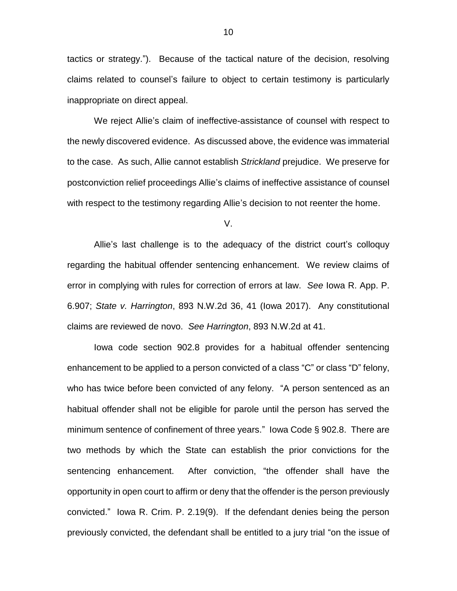tactics or strategy."). Because of the tactical nature of the decision, resolving claims related to counsel's failure to object to certain testimony is particularly inappropriate on direct appeal.

We reject Allie's claim of ineffective-assistance of counsel with respect to the newly discovered evidence. As discussed above, the evidence was immaterial to the case. As such, Allie cannot establish *Strickland* prejudice. We preserve for postconviction relief proceedings Allie's claims of ineffective assistance of counsel with respect to the testimony regarding Allie's decision to not reenter the home.

V.

Allie's last challenge is to the adequacy of the district court's colloquy regarding the habitual offender sentencing enhancement. We review claims of error in complying with rules for correction of errors at law. *See* Iowa R. App. P. 6.907; *State v. Harrington*, 893 N.W.2d 36, 41 (Iowa 2017). Any constitutional claims are reviewed de novo. *See Harrington*, 893 N.W.2d at 41.

Iowa code section 902.8 provides for a habitual offender sentencing enhancement to be applied to a person convicted of a class "C" or class "D" felony, who has twice before been convicted of any felony. "A person sentenced as an habitual offender shall not be eligible for parole until the person has served the minimum sentence of confinement of three years." Iowa Code § 902.8. There are two methods by which the State can establish the prior convictions for the sentencing enhancement. After conviction, "the offender shall have the opportunity in open court to affirm or deny that the offender is the person previously convicted." Iowa R. Crim. P. 2.19(9). If the defendant denies being the person previously convicted, the defendant shall be entitled to a jury trial "on the issue of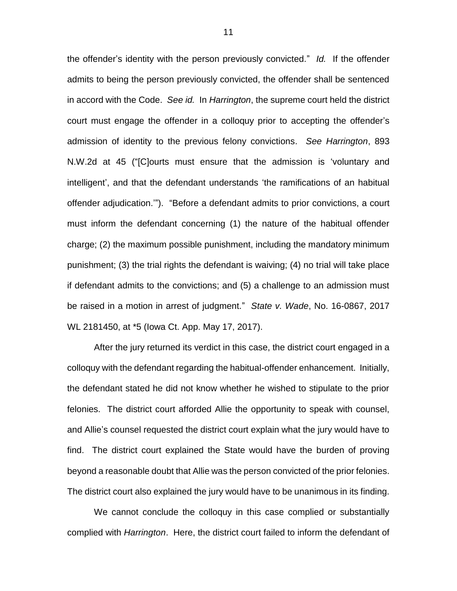the offender's identity with the person previously convicted." *Id.* If the offender admits to being the person previously convicted, the offender shall be sentenced in accord with the Code. *See id.* In *Harrington*, the supreme court held the district court must engage the offender in a colloquy prior to accepting the offender's admission of identity to the previous felony convictions. *See Harrington*, 893 N.W.2d at 45 ("[C]ourts must ensure that the admission is 'voluntary and intelligent', and that the defendant understands 'the ramifications of an habitual offender adjudication.'"). "Before a defendant admits to prior convictions, a court must inform the defendant concerning (1) the nature of the habitual offender charge; (2) the maximum possible punishment, including the mandatory minimum punishment; (3) the trial rights the defendant is waiving; (4) no trial will take place if defendant admits to the convictions; and (5) a challenge to an admission must be raised in a motion in arrest of judgment." *State v. Wade*, No. 16-0867, 2017 WL 2181450, at \*5 (Iowa Ct. App. May 17, 2017).

After the jury returned its verdict in this case, the district court engaged in a colloquy with the defendant regarding the habitual-offender enhancement. Initially, the defendant stated he did not know whether he wished to stipulate to the prior felonies. The district court afforded Allie the opportunity to speak with counsel, and Allie's counsel requested the district court explain what the jury would have to find. The district court explained the State would have the burden of proving beyond a reasonable doubt that Allie was the person convicted of the prior felonies. The district court also explained the jury would have to be unanimous in its finding.

We cannot conclude the colloquy in this case complied or substantially complied with *Harrington*. Here, the district court failed to inform the defendant of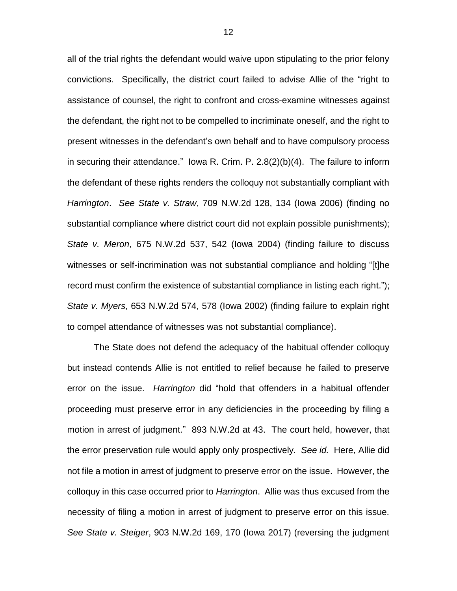all of the trial rights the defendant would waive upon stipulating to the prior felony convictions. Specifically, the district court failed to advise Allie of the "right to assistance of counsel, the right to confront and cross-examine witnesses against the defendant, the right not to be compelled to incriminate oneself, and the right to present witnesses in the defendant's own behalf and to have compulsory process in securing their attendance." Iowa R. Crim. P. 2.8(2)(b)(4). The failure to inform the defendant of these rights renders the colloquy not substantially compliant with *Harrington*. *See State v. Straw*, 709 N.W.2d 128, 134 (Iowa 2006) (finding no substantial compliance where district court did not explain possible punishments); *State v. Meron*, 675 N.W.2d 537, 542 (Iowa 2004) (finding failure to discuss witnesses or self-incrimination was not substantial compliance and holding "[t]he record must confirm the existence of substantial compliance in listing each right."); *State v. Myers*, 653 N.W.2d 574, 578 (Iowa 2002) (finding failure to explain right to compel attendance of witnesses was not substantial compliance).

The State does not defend the adequacy of the habitual offender colloquy but instead contends Allie is not entitled to relief because he failed to preserve error on the issue. *Harrington* did "hold that offenders in a habitual offender proceeding must preserve error in any deficiencies in the proceeding by filing a motion in arrest of judgment." 893 N.W.2d at 43. The court held, however, that the error preservation rule would apply only prospectively. *See id.* Here, Allie did not file a motion in arrest of judgment to preserve error on the issue. However, the colloquy in this case occurred prior to *Harrington*. Allie was thus excused from the necessity of filing a motion in arrest of judgment to preserve error on this issue. *See State v. Steiger*, 903 N.W.2d 169, 170 (Iowa 2017) (reversing the judgment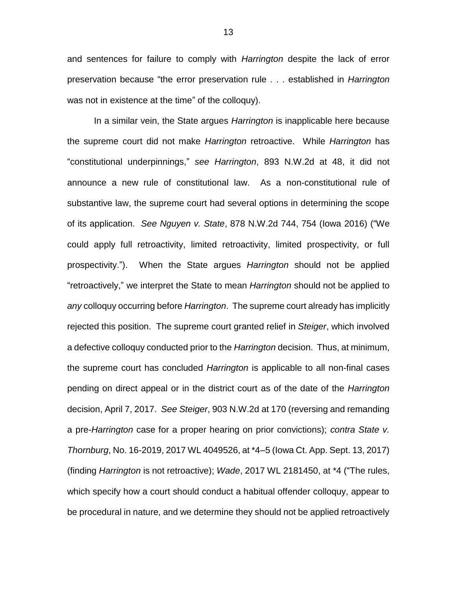and sentences for failure to comply with *Harrington* despite the lack of error preservation because "the error preservation rule . . . established in *Harrington* was not in existence at the time" of the colloquy).

In a similar vein, the State argues *Harrington* is inapplicable here because the supreme court did not make *Harrington* retroactive. While *Harrington* has "constitutional underpinnings," *see Harrington*, 893 N.W.2d at 48, it did not announce a new rule of constitutional law. As a non-constitutional rule of substantive law, the supreme court had several options in determining the scope of its application. *See Nguyen v. State*, 878 N.W.2d 744, 754 (Iowa 2016) ("We could apply full retroactivity, limited retroactivity, limited prospectivity, or full prospectivity."). When the State argues *Harrington* should not be applied "retroactively," we interpret the State to mean *Harrington* should not be applied to *any* colloquy occurring before *Harrington*. The supreme court already has implicitly rejected this position. The supreme court granted relief in *Steiger*, which involved a defective colloquy conducted prior to the *Harrington* decision. Thus, at minimum, the supreme court has concluded *Harrington* is applicable to all non-final cases pending on direct appeal or in the district court as of the date of the *Harrington* decision, April 7, 2017. *See Steiger*, 903 N.W.2d at 170 (reversing and remanding a pre-*Harrington* case for a proper hearing on prior convictions); *contra State v. Thornburg*, No. 16-2019, 2017 WL 4049526, at \*4–5 (Iowa Ct. App. Sept. 13, 2017) (finding *Harrington* is not retroactive); *Wade*, 2017 WL 2181450, at \*4 ("The rules, which specify how a court should conduct a habitual offender colloquy, appear to be procedural in nature, and we determine they should not be applied retroactively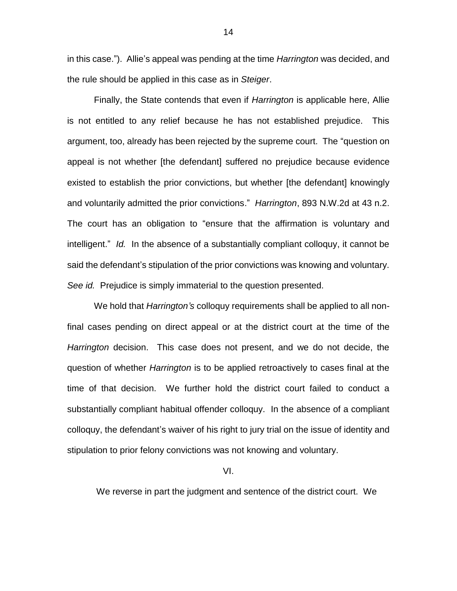in this case."). Allie's appeal was pending at the time *Harrington* was decided, and the rule should be applied in this case as in *Steiger*.

Finally, the State contends that even if *Harrington* is applicable here, Allie is not entitled to any relief because he has not established prejudice. This argument, too, already has been rejected by the supreme court. The "question on appeal is not whether [the defendant] suffered no prejudice because evidence existed to establish the prior convictions, but whether [the defendant] knowingly and voluntarily admitted the prior convictions." *Harrington*, 893 N.W.2d at 43 n.2. The court has an obligation to "ensure that the affirmation is voluntary and intelligent." *Id.* In the absence of a substantially compliant colloquy, it cannot be said the defendant's stipulation of the prior convictions was knowing and voluntary. *See id.* Prejudice is simply immaterial to the question presented.

We hold that *Harrington's* colloquy requirements shall be applied to all nonfinal cases pending on direct appeal or at the district court at the time of the *Harrington* decision. This case does not present, and we do not decide, the question of whether *Harrington* is to be applied retroactively to cases final at the time of that decision. We further hold the district court failed to conduct a substantially compliant habitual offender colloquy. In the absence of a compliant colloquy, the defendant's waiver of his right to jury trial on the issue of identity and stipulation to prior felony convictions was not knowing and voluntary.

VI.

We reverse in part the judgment and sentence of the district court. We